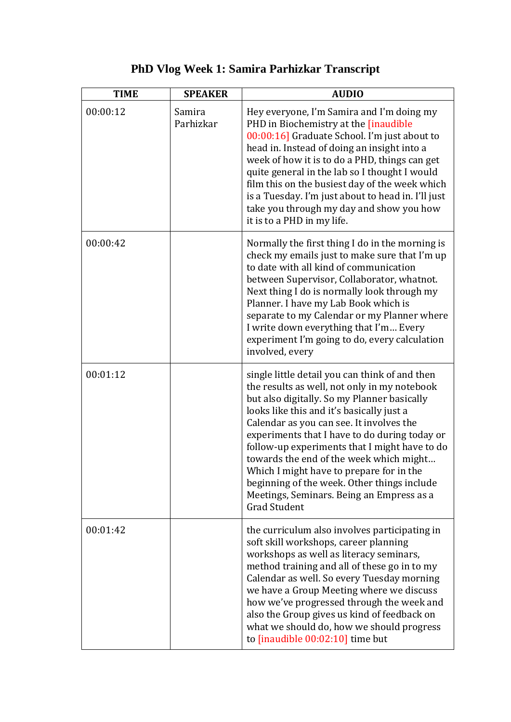## **PhD Vlog Week 1: Samira Parhizkar Transcript**

| <b>TIME</b> | <b>SPEAKER</b>      | <b>AUDIO</b>                                                                                                                                                                                                                                                                                                                                                                                                                                                                                                                                       |
|-------------|---------------------|----------------------------------------------------------------------------------------------------------------------------------------------------------------------------------------------------------------------------------------------------------------------------------------------------------------------------------------------------------------------------------------------------------------------------------------------------------------------------------------------------------------------------------------------------|
| 00:00:12    | Samira<br>Parhizkar | Hey everyone, I'm Samira and I'm doing my<br>PHD in Biochemistry at the <i>[inaudible</i><br>00:00:16] Graduate School. I'm just about to<br>head in. Instead of doing an insight into a<br>week of how it is to do a PHD, things can get<br>quite general in the lab so I thought I would<br>film this on the busiest day of the week which<br>is a Tuesday. I'm just about to head in. I'll just<br>take you through my day and show you how<br>it is to a PHD in my life.                                                                       |
| 00:00:42    |                     | Normally the first thing I do in the morning is<br>check my emails just to make sure that I'm up<br>to date with all kind of communication<br>between Supervisor, Collaborator, whatnot.<br>Next thing I do is normally look through my<br>Planner. I have my Lab Book which is<br>separate to my Calendar or my Planner where<br>I write down everything that I'm Every<br>experiment I'm going to do, every calculation<br>involved, every                                                                                                       |
| 00:01:12    |                     | single little detail you can think of and then<br>the results as well, not only in my notebook<br>but also digitally. So my Planner basically<br>looks like this and it's basically just a<br>Calendar as you can see. It involves the<br>experiments that I have to do during today or<br>follow-up experiments that I might have to do<br>towards the end of the week which might<br>Which I might have to prepare for in the<br>beginning of the week. Other things include<br>Meetings, Seminars. Being an Empress as a<br><b>Grad Student</b> |
| 00:01:42    |                     | the curriculum also involves participating in<br>soft skill workshops, career planning<br>workshops as well as literacy seminars,<br>method training and all of these go in to my<br>Calendar as well. So every Tuesday morning<br>we have a Group Meeting where we discuss<br>how we've progressed through the week and<br>also the Group gives us kind of feedback on<br>what we should do, how we should progress<br>to $[$ inaudible $00:02:10]$ time but                                                                                      |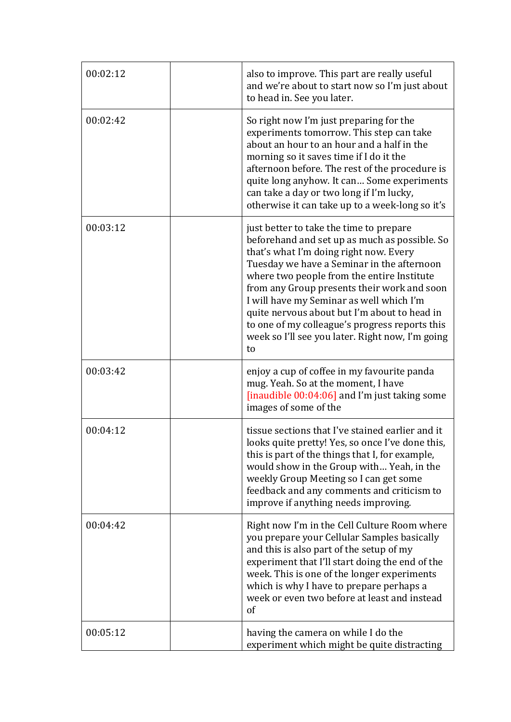| 00:02:12 | also to improve. This part are really useful<br>and we're about to start now so I'm just about<br>to head in. See you later.                                                                                                                                                                                                                                                                                                                                                          |
|----------|---------------------------------------------------------------------------------------------------------------------------------------------------------------------------------------------------------------------------------------------------------------------------------------------------------------------------------------------------------------------------------------------------------------------------------------------------------------------------------------|
| 00:02:42 | So right now I'm just preparing for the<br>experiments tomorrow. This step can take<br>about an hour to an hour and a half in the<br>morning so it saves time if I do it the<br>afternoon before. The rest of the procedure is<br>quite long anyhow. It can Some experiments<br>can take a day or two long if I'm lucky,<br>otherwise it can take up to a week-long so it's                                                                                                           |
| 00:03:12 | just better to take the time to prepare<br>beforehand and set up as much as possible. So<br>that's what I'm doing right now. Every<br>Tuesday we have a Seminar in the afternoon<br>where two people from the entire Institute<br>from any Group presents their work and soon<br>I will have my Seminar as well which I'm<br>quite nervous about but I'm about to head in<br>to one of my colleague's progress reports this<br>week so I'll see you later. Right now, I'm going<br>to |
| 00:03:42 | enjoy a cup of coffee in my favourite panda<br>mug. Yeah. So at the moment, I have<br>[inaudible 00:04:06] and I'm just taking some<br>images of some of the                                                                                                                                                                                                                                                                                                                          |
| 00:04:12 | tissue sections that I've stained earlier and it<br>looks quite pretty! Yes, so once I've done this,<br>this is part of the things that I, for example,<br>would show in the Group with Yeah, in the<br>weekly Group Meeting so I can get some<br>feedback and any comments and criticism to<br>improve if anything needs improving.                                                                                                                                                  |
| 00:04:42 | Right now I'm in the Cell Culture Room where<br>you prepare your Cellular Samples basically<br>and this is also part of the setup of my<br>experiment that I'll start doing the end of the<br>week. This is one of the longer experiments<br>which is why I have to prepare perhaps a<br>week or even two before at least and instead<br>of                                                                                                                                           |
| 00:05:12 | having the camera on while I do the<br>experiment which might be quite distracting                                                                                                                                                                                                                                                                                                                                                                                                    |